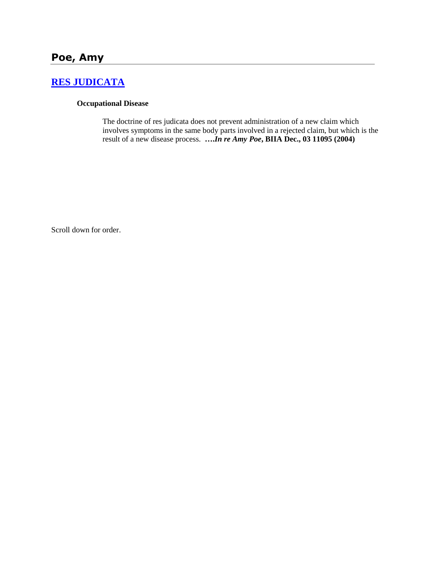# **[RES JUDICATA](http://www.biia.wa.gov/SDSubjectIndex.html#RES_JUDICATA)**

#### **Occupational Disease**

The doctrine of res judicata does not prevent administration of a new claim which involves symptoms in the same body parts involved in a rejected claim, but which is the result of a new disease process. **….***In re Amy Poe***, BIIA Dec., 03 11095 (2004)** 

Scroll down for order.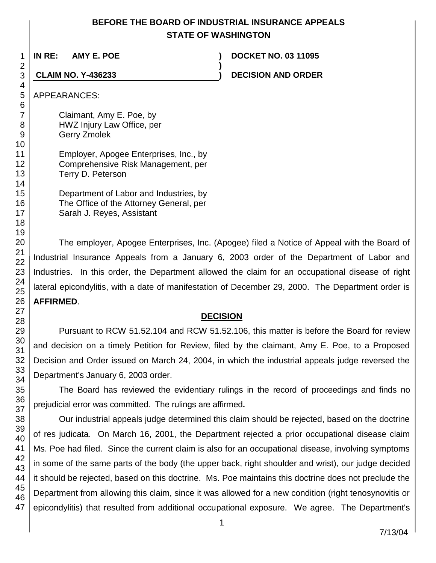## **BEFORE THE BOARD OF INDUSTRIAL INSURANCE APPEALS STATE OF WASHINGTON**

**)**

**IN RE: AMY E. POE ) DOCKET NO. 03 11095**

**CLAIM NO. Y-436233 ) DECISION AND ORDER**

APPEARANCES:

Claimant, Amy E. Poe, by HWZ Injury Law Office, per Gerry Zmolek

Employer, Apogee Enterprises, Inc., by Comprehensive Risk Management, per Terry D. Peterson

Department of Labor and Industries, by The Office of the Attorney General, per Sarah J. Reyes, Assistant

The employer, Apogee Enterprises, Inc. (Apogee) filed a Notice of Appeal with the Board of Industrial Insurance Appeals from a January 6, 2003 order of the Department of Labor and Industries. In this order, the Department allowed the claim for an occupational disease of right lateral epicondylitis, with a date of manifestation of December 29, 2000. The Department order is **AFFIRMED**.

### **DECISION**

Pursuant to RCW 51.52.104 and RCW 51.52.106, this matter is before the Board for review and decision on a timely Petition for Review, filed by the claimant, Amy E. Poe, to a Proposed Decision and Order issued on March 24, 2004, in which the industrial appeals judge reversed the Department's January 6, 2003 order.

The Board has reviewed the evidentiary rulings in the record of proceedings and finds no prejudicial error was committed. The rulings are affirmed**.**

Our industrial appeals judge determined this claim should be rejected, based on the doctrine of res judicata. On March 16, 2001, the Department rejected a prior occupational disease claim Ms. Poe had filed. Since the current claim is also for an occupational disease, involving symptoms in some of the same parts of the body (the upper back, right shoulder and wrist), our judge decided it should be rejected, based on this doctrine. Ms. Poe maintains this doctrine does not preclude the Department from allowing this claim, since it was allowed for a new condition (right tenosynovitis or epicondylitis) that resulted from additional occupational exposure. We agree. The Department's

1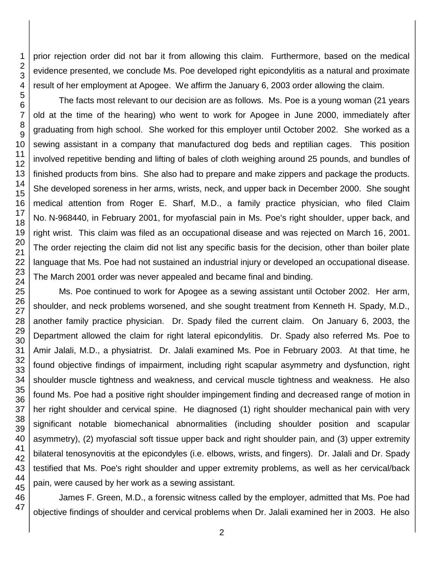prior rejection order did not bar it from allowing this claim. Furthermore, based on the medical evidence presented, we conclude Ms. Poe developed right epicondylitis as a natural and proximate result of her employment at Apogee. We affirm the January 6, 2003 order allowing the claim.

The facts most relevant to our decision are as follows. Ms. Poe is a young woman (21 years old at the time of the hearing) who went to work for Apogee in June 2000, immediately after graduating from high school. She worked for this employer until October 2002. She worked as a sewing assistant in a company that manufactured dog beds and reptilian cages. This position involved repetitive bending and lifting of bales of cloth weighing around 25 pounds, and bundles of finished products from bins. She also had to prepare and make zippers and package the products. She developed soreness in her arms, wrists, neck, and upper back in December 2000. She sought medical attention from Roger E. Sharf, M.D., a family practice physician, who filed Claim No. N-968440, in February 2001, for myofascial pain in Ms. Poe's right shoulder, upper back, and right wrist. This claim was filed as an occupational disease and was rejected on March 16, 2001. The order rejecting the claim did not list any specific basis for the decision, other than boiler plate language that Ms. Poe had not sustained an industrial injury or developed an occupational disease. The March 2001 order was never appealed and became final and binding.

Ms. Poe continued to work for Apogee as a sewing assistant until October 2002. Her arm, shoulder, and neck problems worsened, and she sought treatment from Kenneth H. Spady, M.D., another family practice physician. Dr. Spady filed the current claim. On January 6, 2003, the Department allowed the claim for right lateral epicondylitis. Dr. Spady also referred Ms. Poe to Amir Jalali, M.D., a physiatrist. Dr. Jalali examined Ms. Poe in February 2003. At that time, he found objective findings of impairment, including right scapular asymmetry and dysfunction, right shoulder muscle tightness and weakness, and cervical muscle tightness and weakness. He also found Ms. Poe had a positive right shoulder impingement finding and decreased range of motion in her right shoulder and cervical spine. He diagnosed (1) right shoulder mechanical pain with very significant notable biomechanical abnormalities (including shoulder position and scapular asymmetry), (2) myofascial soft tissue upper back and right shoulder pain, and (3) upper extremity bilateral tenosynovitis at the epicondyles (i.e. elbows, wrists, and fingers). Dr. Jalali and Dr. Spady testified that Ms. Poe's right shoulder and upper extremity problems, as well as her cervical/back pain, were caused by her work as a sewing assistant.

James F. Green, M.D., a forensic witness called by the employer, admitted that Ms. Poe had objective findings of shoulder and cervical problems when Dr. Jalali examined her in 2003. He also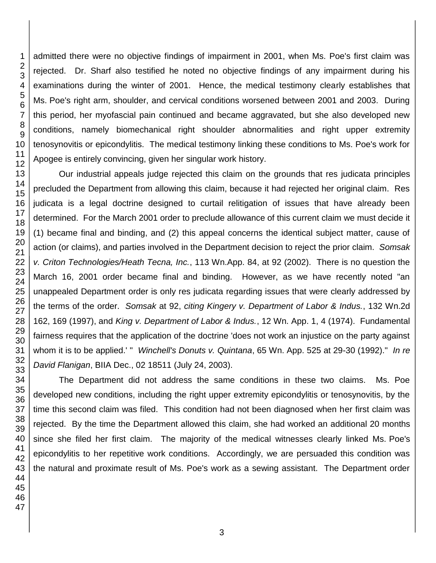admitted there were no objective findings of impairment in 2001, when Ms. Poe's first claim was rejected. Dr. Sharf also testified he noted no objective findings of any impairment during his examinations during the winter of 2001. Hence, the medical testimony clearly establishes that Ms. Poe's right arm, shoulder, and cervical conditions worsened between 2001 and 2003. During this period, her myofascial pain continued and became aggravated, but she also developed new conditions, namely biomechanical right shoulder abnormalities and right upper extremity tenosynovitis or epicondylitis. The medical testimony linking these conditions to Ms. Poe's work for Apogee is entirely convincing, given her singular work history.

Our industrial appeals judge rejected this claim on the grounds that res judicata principles precluded the Department from allowing this claim, because it had rejected her original claim. Res judicata is a legal doctrine designed to curtail relitigation of issues that have already been determined. For the March 2001 order to preclude allowance of this current claim we must decide it (1) became final and binding, and (2) this appeal concerns the identical subject matter, cause of action (or claims), and parties involved in the Department decision to reject the prior claim. *Somsak v. Criton Technologies/Heath Tecna, Inc.*, 113 Wn.App. 84, at 92 (2002). There is no question the March 16, 2001 order became final and binding. However, as we have recently noted "an unappealed Department order is only res judicata regarding issues that were clearly addressed by the terms of the order. *Somsak* at 92, *citing Kingery v. Department of Labor & Indus.*, 132 Wn.2d 162, 169 (1997), and *King v. Department of Labor & Indus.*, 12 Wn. App. 1, 4 (1974). Fundamental fairness requires that the application of the doctrine 'does not work an injustice on the party against whom it is to be applied.' " *Winchell's Donuts v. Quintana*, 65 Wn. App. 525 at 29-30 (1992)." *In re David Flanigan*, BIIA Dec., 02 18511 (July 24, 2003).

The Department did not address the same conditions in these two claims. Ms. Poe developed new conditions, including the right upper extremity epicondylitis or tenosynovitis, by the time this second claim was filed. This condition had not been diagnosed when her first claim was rejected. By the time the Department allowed this claim, she had worked an additional 20 months since she filed her first claim. The majority of the medical witnesses clearly linked Ms. Poe's epicondylitis to her repetitive work conditions. Accordingly, we are persuaded this condition was the natural and proximate result of Ms. Poe's work as a sewing assistant. The Department order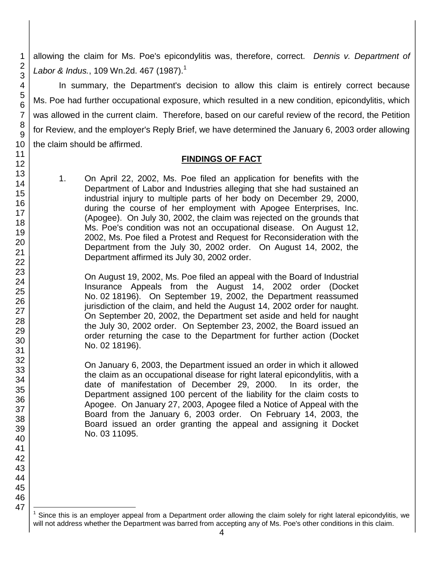allowing the claim for Ms. Poe's epicondylitis was, therefore, correct. *Dennis v. Department of Labor & Indus.*, 109 Wn.2d. 467 (1987).<sup>1</sup>

In summary, the Department's decision to allow this claim is entirely correct because Ms. Poe had further occupational exposure, which resulted in a new condition, epicondylitis, which was allowed in the current claim. Therefore, based on our careful review of the record, the Petition for Review, and the employer's Reply Brief, we have determined the January 6, 2003 order allowing the claim should be affirmed.

#### **FINDINGS OF FACT**

1. On April 22, 2002, Ms. Poe filed an application for benefits with the Department of Labor and Industries alleging that she had sustained an industrial injury to multiple parts of her body on December 29, 2000, during the course of her employment with Apogee Enterprises, Inc. (Apogee). On July 30, 2002, the claim was rejected on the grounds that Ms. Poe's condition was not an occupational disease. On August 12, 2002, Ms. Poe filed a Protest and Request for Reconsideration with the Department from the July 30, 2002 order. On August 14, 2002, the Department affirmed its July 30, 2002 order.

On August 19, 2002, Ms. Poe filed an appeal with the Board of Industrial Insurance Appeals from the August 14, 2002 order (Docket No. 02 18196). On September 19, 2002, the Department reassumed jurisdiction of the claim, and held the August 14, 2002 order for naught. On September 20, 2002, the Department set aside and held for naught the July 30, 2002 order. On September 23, 2002, the Board issued an order returning the case to the Department for further action (Docket No. 02 18196).

On January 6, 2003, the Department issued an order in which it allowed the claim as an occupational disease for right lateral epicondylitis, with a date of manifestation of December 29, 2000. In its order, the Department assigned 100 percent of the liability for the claim costs to Apogee. On January 27, 2003, Apogee filed a Notice of Appeal with the Board from the January 6, 2003 order. On February 14, 2003, the Board issued an order granting the appeal and assigning it Docket No. 03 11095.

l 1 Since this is an employer appeal from a Department order allowing the claim solely for right lateral epicondylitis, we will not address whether the Department was barred from accepting any of Ms. Poe's other conditions in this claim.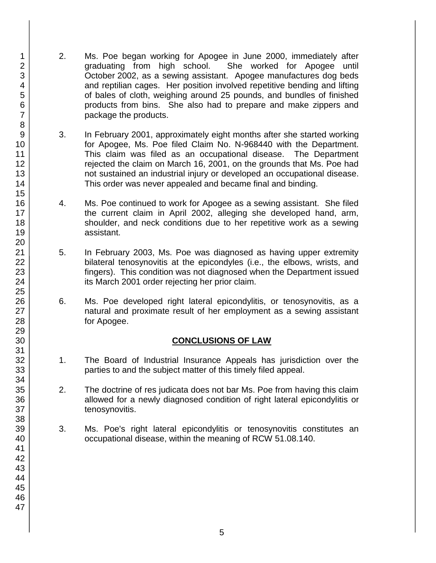- 2. Ms. Poe began working for Apogee in June 2000, immediately after graduating from high school. She worked for Apogee until October 2002, as a sewing assistant. Apogee manufactures dog beds and reptilian cages. Her position involved repetitive bending and lifting of bales of cloth, weighing around 25 pounds, and bundles of finished products from bins. She also had to prepare and make zippers and package the products.
- 3. In February 2001, approximately eight months after she started working for Apogee, Ms. Poe filed Claim No. N-968440 with the Department. This claim was filed as an occupational disease. The Department rejected the claim on March 16, 2001, on the grounds that Ms. Poe had not sustained an industrial injury or developed an occupational disease. This order was never appealed and became final and binding.
- 4. Ms. Poe continued to work for Apogee as a sewing assistant. She filed the current claim in April 2002, alleging she developed hand, arm, shoulder, and neck conditions due to her repetitive work as a sewing assistant.
- 5. In February 2003, Ms. Poe was diagnosed as having upper extremity bilateral tenosynovitis at the epicondyles (i.e., the elbows, wrists, and fingers). This condition was not diagnosed when the Department issued its March 2001 order rejecting her prior claim.
- 6. Ms. Poe developed right lateral epicondylitis, or tenosynovitis, as a natural and proximate result of her employment as a sewing assistant for Apogee.

### **CONCLUSIONS OF LAW**

- 1. The Board of Industrial Insurance Appeals has jurisdiction over the parties to and the subject matter of this timely filed appeal.
- 2. The doctrine of res judicata does not bar Ms. Poe from having this claim allowed for a newly diagnosed condition of right lateral epicondylitis or tenosynovitis.
- 3. Ms. Poe's right lateral epicondylitis or tenosynovitis constitutes an occupational disease, within the meaning of RCW 51.08.140.